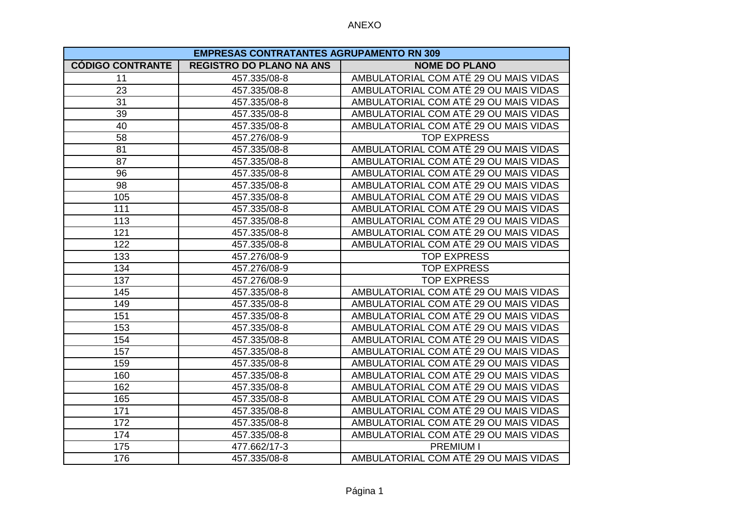| <b>EMPRESAS CONTRATANTES AGRUPAMENTO RN 309</b> |                                 |                                       |
|-------------------------------------------------|---------------------------------|---------------------------------------|
| <b>CÓDIGO CONTRANTE</b>                         | <b>REGISTRO DO PLANO NA ANS</b> | <b>NOME DO PLANO</b>                  |
| 11                                              | 457.335/08-8                    | AMBULATORIAL COM ATÉ 29 OU MAIS VIDAS |
| 23                                              | 457.335/08-8                    | AMBULATORIAL COM ATÉ 29 OU MAIS VIDAS |
| 31                                              | 457.335/08-8                    | AMBULATORIAL COM ATÉ 29 OU MAIS VIDAS |
| 39                                              | 457.335/08-8                    | AMBULATORIAL COM ATÉ 29 OU MAIS VIDAS |
| 40                                              | 457.335/08-8                    | AMBULATORIAL COM ATÉ 29 OU MAIS VIDAS |
| 58                                              | 457.276/08-9                    | <b>TOP EXPRESS</b>                    |
| 81                                              | 457.335/08-8                    | AMBULATORIAL COM ATÉ 29 OU MAIS VIDAS |
| 87                                              | 457.335/08-8                    | AMBULATORIAL COM ATÉ 29 OU MAIS VIDAS |
| 96                                              | 457.335/08-8                    | AMBULATORIAL COM ATÉ 29 OU MAIS VIDAS |
| 98                                              | 457.335/08-8                    | AMBULATORIAL COM ATÉ 29 OU MAIS VIDAS |
| 105                                             | 457.335/08-8                    | AMBULATORIAL COM ATÉ 29 OU MAIS VIDAS |
| 111                                             | 457.335/08-8                    | AMBULATORIAL COM ATÉ 29 OU MAIS VIDAS |
| 113                                             | 457.335/08-8                    | AMBULATORIAL COM ATÉ 29 OU MAIS VIDAS |
| 121                                             | 457.335/08-8                    | AMBULATORIAL COM ATÉ 29 OU MAIS VIDAS |
| 122                                             | 457.335/08-8                    | AMBULATORIAL COM ATÉ 29 OU MAIS VIDAS |
| 133                                             | 457.276/08-9                    | <b>TOP EXPRESS</b>                    |
| 134                                             | 457.276/08-9                    | <b>TOP EXPRESS</b>                    |
| 137                                             | 457.276/08-9                    | <b>TOP EXPRESS</b>                    |
| 145                                             | 457.335/08-8                    | AMBULATORIAL COM ATÉ 29 OU MAIS VIDAS |
| 149                                             | 457.335/08-8                    | AMBULATORIAL COM ATÉ 29 OU MAIS VIDAS |
| 151                                             | 457.335/08-8                    | AMBULATORIAL COM ATÉ 29 OU MAIS VIDAS |
| 153                                             | 457.335/08-8                    | AMBULATORIAL COM ATÉ 29 OU MAIS VIDAS |
| 154                                             | 457.335/08-8                    | AMBULATORIAL COM ATÉ 29 OU MAIS VIDAS |
| 157                                             | 457.335/08-8                    | AMBULATORIAL COM ATÉ 29 OU MAIS VIDAS |
| 159                                             | 457.335/08-8                    | AMBULATORIAL COM ATÉ 29 OU MAIS VIDAS |
| 160                                             | 457.335/08-8                    | AMBULATORIAL COM ATÉ 29 OU MAIS VIDAS |
| 162                                             | 457.335/08-8                    | AMBULATORIAL COM ATÉ 29 OU MAIS VIDAS |
| 165                                             | 457.335/08-8                    | AMBULATORIAL COM ATÉ 29 OU MAIS VIDAS |
| 171                                             | 457.335/08-8                    | AMBULATORIAL COM ATÉ 29 OU MAIS VIDAS |
| 172                                             | 457.335/08-8                    | AMBULATORIAL COM ATÉ 29 OU MAIS VIDAS |
| 174                                             | 457.335/08-8                    | AMBULATORIAL COM ATÉ 29 OU MAIS VIDAS |
| 175                                             | 477.662/17-3                    | <b>PREMIUM I</b>                      |
| 176                                             | 457.335/08-8                    | AMBULATORIAL COM ATÉ 29 OU MAIS VIDAS |